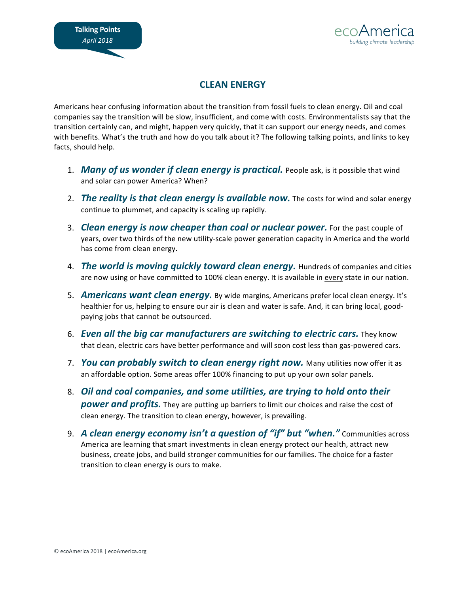

## **CLEAN ENERGY**

Americans hear confusing information about the transition from fossil fuels to clean energy. Oil and coal companies say the transition will be slow, insufficient, and come with costs. Environmentalists say that the transition certainly can, and might, happen very quickly, that it can support our energy needs, and comes with benefits. What's the truth and how do you talk about it? The following talking points, and links to key facts, should help.

- 1. **Many of us wonder if clean energy is practical.** People ask, is it possible that wind and solar can power America? When?
- 2. *The reality is that clean energy is available now.* The costs for wind and solar energy continue to plummet, and capacity is scaling up rapidly.
- 3. *Clean energy is now cheaper than coal or nuclear power.* For the past couple of years, over two thirds of the new utility-scale power generation capacity in America and the world has come from clean energy.
- 4. *The world is moving quickly toward clean energy.* Hundreds of companies and cities are now using or have committed to 100% clean energy. It is available in every state in our nation.
- 5. **Americans want clean energy.** By wide margins, Americans prefer local clean energy. It's healthier for us, helping to ensure our air is clean and water is safe. And, it can bring local, goodpaying jobs that cannot be outsourced.
- 6. *Even all the big car manufacturers are switching to electric cars.* They know that clean, electric cars have better performance and will soon cost less than gas-powered cars.
- 7. *You can probably switch to clean energy right now.* Many utilities now offer it as an affordable option. Some areas offer 100% financing to put up your own solar panels.
- 8. Oil and coal companies, and some utilities, are trying to hold onto their **power and profits.** They are putting up barriers to limit our choices and raise the cost of clean energy. The transition to clean energy, however, is prevailing.
- 9. A clean energy economy isn't a question of "if" but "when." Communities across America are learning that smart investments in clean energy protect our health, attract new business, create jobs, and build stronger communities for our families. The choice for a faster transition to clean energy is ours to make.